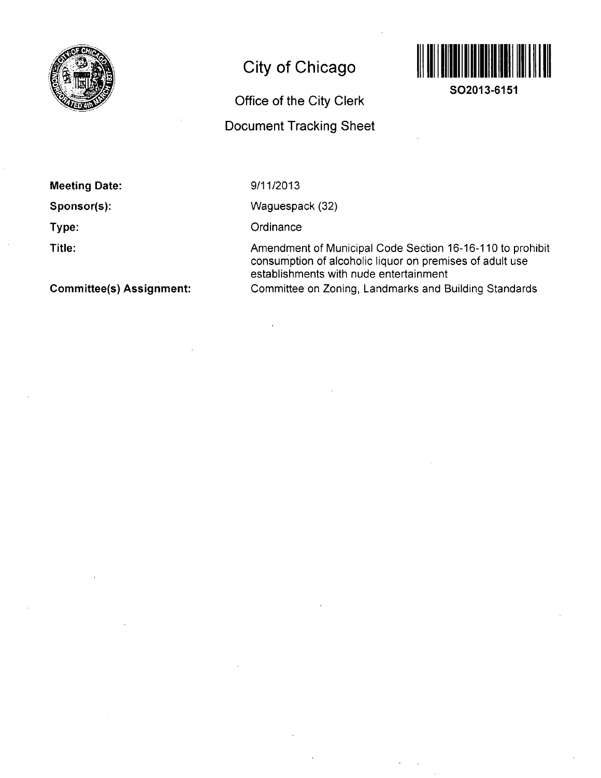

# **City of Chicago**

# **Office of the City Clerk Document Tracking Sheet**



**SO2013-6151** 

**Meeting Date:** 

**Sponsor(s):** 

**Type:** 

**Title:** 

**Committee(s) Assignment:** 

9/11/2013

Waguespack (32)

**Ordinance** 

Amendment of Municipal Code Section 16-16-110 to prohibit consumption of alcoholic liquor on premises of adult use establishments with nude entertainment Committee on Zoning, Landmarks and Building Standards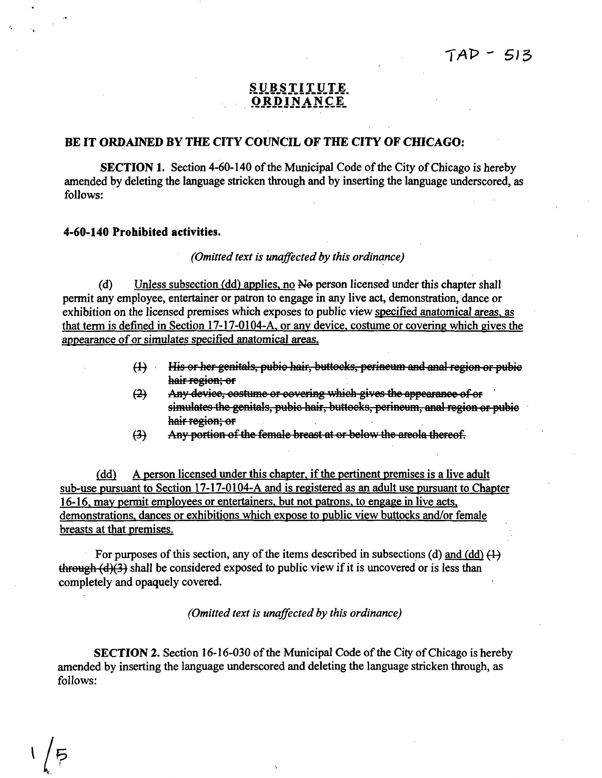# SUBSTITUTE **ORDINANCE**

### BE IT ORDAINED BY THE CITY COUNCIL OF THE CITY OF CHICAGO:

SECTION 1. Section 4-60-140 of the Municipal Code of the City of Chicago is hereby amended by deleting the language stricken through and by inserting the language underscored, as follows:

## 4-60-140 Prohibited activities.

 $^{\prime}$  5

#### *(Omitted text is unaffected by this ordinance)*

(d) Unless subsection (dd) applies, no Ne person licensed under this chapter shall permit any employee, entertainer or patron to engage in any live act, demonstration, dance or exhibition on the licensed premises which exposes to public view specified anatomical areas, as that term is defined in Section 17-17-0104-A. or anv device, costume or covering which gives the appearance of or simulates specified anatomical areas.

- (1) His or her genitals, pubio hair, buttocks, perineum and anal region or pubio hair region; or
- (2) Any device, costume or covering which gives the appearance of or simulates the genitals, pubio hair, buttocks, perineum, anal region or pubic hair region; or
- Any portion of the female breast at or below the areola thereof.  $\leftrightarrow$

(dd) A person licensed under this chapter, if the pertinent premises is a live adult sub-use pursuant to Section 17-17-0104-A and is registered as an adult use pursuant to Chapter 16-16. mav permit employees or entertainers, but not patrons, to engage in live acts, demonstrations, dances or exhibitions which expose to public view buttocks and/or female breasts at that premises.

For purposes of this section, any of the items described in subsections (d) and (dd)  $(1)$ through  $(d)(3)$  shall be considered exposed to public view if it is uncovered or is less than completely and opaquely covered.

*(Omitted text is unaffected by this ordinance)* 

SECTION 2. Section 16-16-030 of the Municipal Code of the City of Chicago is hereby amended by inserting the language underscored and deleting the language stricken through, as follows: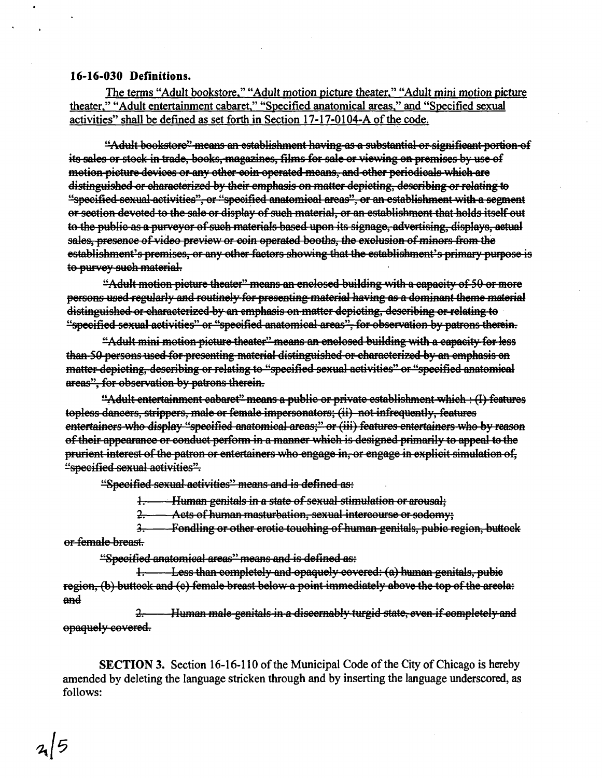### **16-16-030 Definitions.**

**The terms "Adult bookstore." "Adult motion picture theater." "Adult mini motion picture**  theater," "Adult entertainment cabaret," "Specified anatomical areas," and "Specified sexual **activities" shall be defined as set forth in Section 17-17-0104-A ofthe code.** 

**"Adult bookstore" means on establishment having as a substantial or signifioont portion of its sales or stock in trade, books, magazines, films for gale or viewing on premises by use of motion picture devices or any other coin operated means, and other periodicals which ore distinguished or characterized by their emphasis on matter depicting, describing or relating to "specified sexuol activities", or "specified anatomical areas", or on establishment with o segment or section devoted to the sole or display of such material, or on establishment that holds itself out to the public as a purveyor of such moteriols based upon its signage, advertising, displays, actual**  sales, presence of video preview or coin operated booths, the exclusion of minors from the **establishment's premises, or any other factors showing that the establishment's primary purpose is to purvey such material.** 

**"Adult motion picture theater" means an enclosed building with o capacity of 50 or more persons used regularly and routinely for presenting material having as a dominant theme material distinguished or characterized by on emphasis on matter depicting, describing or relating to "specified sexual activities" or "specified anatomical areas", for observation by patrons therein.** 

**"Adult mini motion picture theater" means an enclosed building with a capacity for less than SO persons used for presenting material distinguished or choraoterizod by on emphosis on**  matter depicting, describing or relating to "specified sexual activities" or "specified anatomical **areas", for observation by patrons therein.** 

**"Adult entertainment cabaret" meons a public or private establishment which : (I) features**  topless dancers, strippers, male or female impersonators; (ii) not infrequently, features **entertainers who display "specified anatomical areas;" or (iii) features entertainers who by reason**  of their appearance or conduct perform in a manner which is designed primarily to appeal to the **prurient interest of the patron or entertainers who engage in, or engage in explicit simulation of, "specified sexual activities".** 

**"Specified sexual activities" means and is defined as:** 

**1-. Human genitals in a state of sexual stimulation or arousal;** 

**2-. Acts of human mosturbotion, sexual intercourse or sodomy;** 

**5T Fondling or other erotic touching of humon genitals, pubio region, buttock or female breost.** 

**"Specified anatomical areas" means and is defined as:** 

**1. Less than completely and opaquely covered: (a) human genitals, pubic region, (b) buttock and (o) female breast below a point immediately above the top of the areola:**   $\begin{array}{c} \text{and} \ \end{array}$ 

**3r. Human male genitals in a discemably turgid state, oven if completely and opaquely covered.** 

**SECTION 3. Section 16-16-110 of the Municipal Code of the City of Chicago is hereby amended by deleting the language stricken through and by inserting the language underscored, as follows:**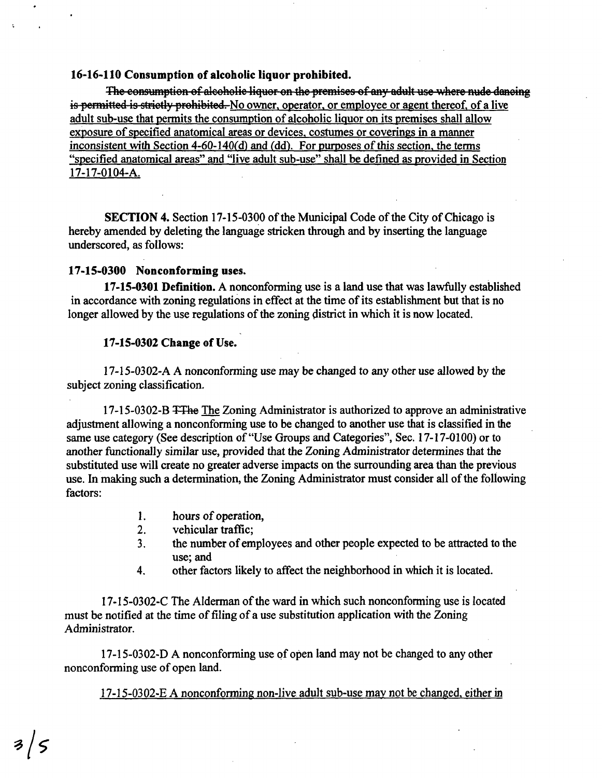#### **16- 16-110 Consumption of alcoholic liquor prohibited.**

The consumption of alcoholic liquor on the premises of any adult use where nude dancing is permitted is strictly prohibited. No owner, operator, or employee or agent thereof, of a live adult sub-use that permits the consumption of alcoholic liquor on its premises shall allow exposure of specified anatomical areas or devices, costumes or coverings in a manner inconsistent with Section  $4-60-140(d)$  and (dd). For purposes of this section, the terms "specified anatomical areas" and "live adult sub-use" shall be defined as provided in Section 17- 17-0104-A.

SECTION 4. Section 17-15-0300 of the Municipal Code of the City of Chicago is hereby amended by deleting the language stricken through and by inserting the language underscored, as follows:

#### **17-15-0300 Nonconforming uses.**

17-15-0301 Definition. A nonconforming use is a land use that was lawfully established in accordance with zoning regulations in effect at the time of its establishment but that is no longer allowed by the use regulations of the zoning district in which it is now located.

#### 17-15-0302 Change of Use.

17-15-0302-A A nonconforming use may be changed to any other use allowed by the subject zoning classification.

17-15-0302-B TThe The Zoning Administrator is authorized to approve an administrative adjustment allowing a nonconforming use to be changed to another use that is classified in the same use category (See description of "Use Groups and Categories", Sec. 17-17-0100) or to another functionally similar use, provided that the Zoning Administrator determines that the substituted use will create no greater adverse impacts on the surrounding area than the previous use. In making such a determination, the Zoning Administrator must consider all of the following factors:

- 1. hours of operation,<br>2. vehicular traffic:
- 2. vehicular traffic;<br>3. the number of em
- 3. the number of employees and other people expected to be attracted to the use; and
- 4. other factors likely to affect the neighborhood in which it is located.

17-I5-0302-C The Alderman of the ward in which such nonconforming use is located must be notified at the time of filing of a use substitution application with the Zoning Administrator.

17-15-0302-D A nonconforming use of open land may not be changed to any other nonconforming use of open land.

17-15-0302-E A nonconforming non-live adult sub-use mav not be changed, either in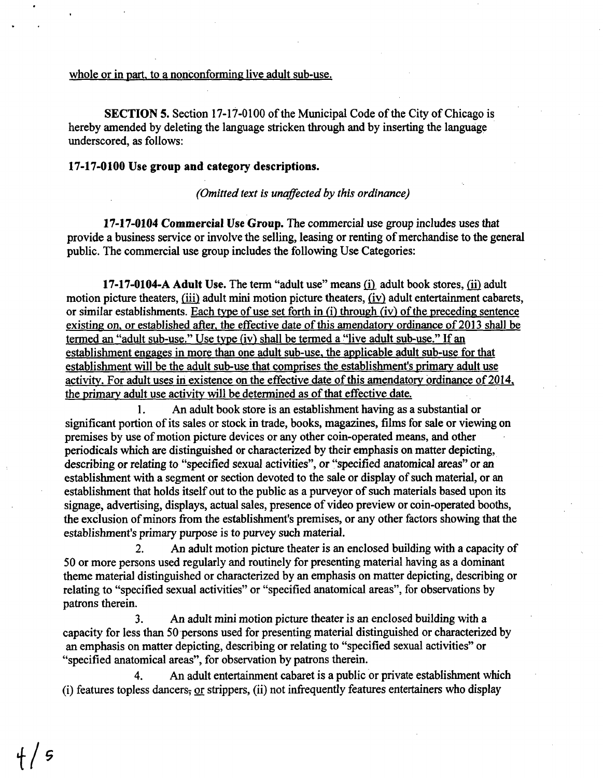## whole or in part, to a nonconforming live adult sub-use.

SECTION 5. Section 17-17-0100 of the Municipal Code of the City of Chicago is hereby amended by deleting the language stricken through and by inserting the language underscored, as follows:

#### **17-17-0100 Use group and category descriptions.**

*(Omitted text is unaffected by this ordinance)* 

17-17-0104 Commercial Use Group. The commercial use group includes uses that provide a business service or involve the selling, leasing or renting of merchandise to the general public. The commercial use group includes the following Use Categories:

17-17-0104-A Adult Use. The term "adult use" means (i). adult book stores, {ii} adult motion picture theaters, (iii) adult mini motion picture theaters, (iv) adult entertainment cabarets, or similar establishments. Each type of use set forth in (i) through (iv) of the preceding sentence existing on, or established after, the effective date of this amendatory ordinance of 2013 shall be termed an "aduh sub-use." Use type (iv) shall be termed a "live adult sub-use." If an establishment engages in more than one adult sub-use, the applicable adult sub-use for that establishment will be the adult sub-use that comprises the establishment's primary adult use activity. For adult uses in existence on the effective date of this amendatory ordinance of 2014. the primary adult use activity will be determined as of that effective date.

1. An adult book store is an establishment having as a substantial or significant portion of its sales or stock in trade, books, magazines, films for sale or viewing on premises by use of motion picture devices or any other coin-operated means, and other periodicals which are distinguished or characterized by their emphasis on matter depicting, describing or relating to "specified sexual activities", or "specified anatomical areas" or an establishment with a segment or section devoted to the sale or display of such material, or an establishment that holds itself out to the public as a purveyor of such materials based upon its signage, advertising, displays, actual sales, presence of video preview or coin-operated booths, the exclusion of minors from the establishment's premises, or any other factors showing that the establishment's primary purpose is to purvey such material.

2. An adult motion picture theater is an enclosed building with a capacity of 50 or more persons used regularly and routinely for presenting material having as a dominant theme material distinguished or characterized by an emphasis on matter depicting, describing or relating to "specified sexual activities" or "specified anatomical areas", for observations by patrons therein.

3. An adult mini motion picture theater is an enclosed building with a capacity for less than 50 persons used for presenting material distinguished or characterized by an emphasis on matter depicting, describing or relating to "specified sexual activities" or "specified anatomical areas", for observation by patrons therein.

4. An adult entertainment cabaret is a public or private establishment which (i) features topless dancers, or strippers, (ii) not infrequently features entertainers who display

**f/**